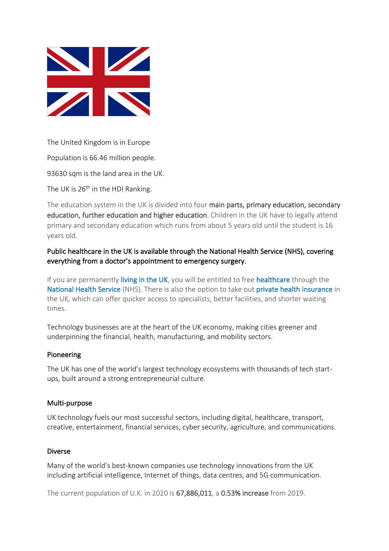

The United Kingdom is in Europe

Population is 66.46 million people.

93630 sqm is the land area in the UK.

The UK is  $26<sup>th</sup>$  in the HDI Ranking.

The education system in the UK is divided into four main parts, primary education, secondary education, further education and higher education. Children in the UK have to legally attend primary and secondary education which runs from about 5 years old until the student is 16 years old.

Public healthcare in the UK is available through the National Health Service (NHS), covering everything from a doctor's appointment to emergency surgery.

If you are permanently living in the UK, you will be entitled to free healthcare through the National Health Service (NHS). There is also the option to take out private health insurance in the UK, which can offer quicker access to specialists, better facilities, and shorter waiting times.

Technology businesses are at the heart of the UK economy, making cities greener and underpinning the financial, health, manufacturing, and mobility sectors.

## Pioneering

The UK has one of the world's largest technology ecosystems with thousands of tech startups, built around a strong entrepreneurial culture.

## Multi-purpose

UK technology fuels our most successful sectors, including digital, healthcare, transport, creative, entertainment, financial services, cyber security, agriculture, and communications.

## Diverse

Many of the world's best-known companies use technology innovations from the UK including artificial intelligence, Internet of things, data centres, and 5G communication.

The current population of U.K. in 2020 is 67,886,011, a 0.53% increase from 2019.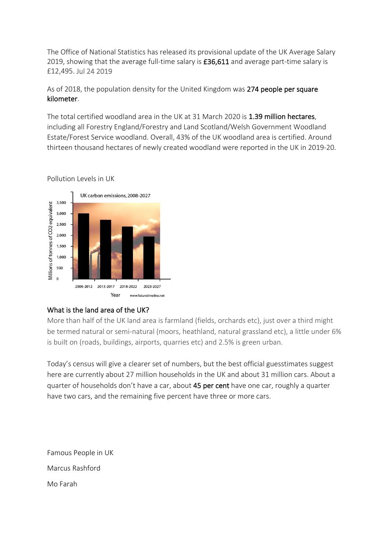The Office of National Statistics has released its provisional update of the UK Average Salary 2019, showing that the average full-time salary is £36,611 and average part-time salary is £12,495. Jul 24 2019

As of 2018, the population density for the United Kingdom was 274 people per square kilometer.

The total certified woodland area in the UK at 31 March 2020 is 1.39 million hectares, including all Forestry England/Forestry and Land Scotland/Welsh Government Woodland Estate/Forest Service woodland. Overall, 43% of the UK woodland area is certified. Around thirteen thousand hectares of newly created woodland were reported in the UK in 2019-20.



Pollution Levels in UK

## What is the land area of the UK?

More than half of the UK land area is farmland (fields, orchards etc), just over a third might be termed natural or semi-natural (moors, heathland, natural grassland etc), a little under 6% is built on (roads, buildings, airports, quarries etc) and 2.5% is green urban.

Today's census will give a clearer set of numbers, but the best official guesstimates suggest here are currently about 27 million households in the UK and about 31 million cars. About a quarter of households don't have a car, about 45 per cent have one car, roughly a quarter have two cars, and the remaining five percent have three or more cars.

Famous People in UK Marcus Rashford Mo Farah